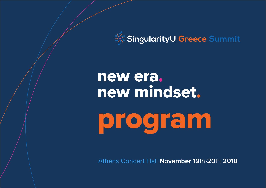

# new era. new mindset.

program

Athens Concert Hall **November 19**th**-20**th **2018**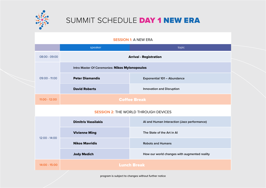

### SUMMIT SCHEDULE DAY 1 NEW ERA

#### **SESSION 1:** A NEW ERA

|                                             | speaker                                        | topic                                        |  |  |
|---------------------------------------------|------------------------------------------------|----------------------------------------------|--|--|
| 08:00 - 09:00                               | <b>Arrival - Registration</b>                  |                                              |  |  |
| $09:00 - 11:00$                             | Intro Master Of Ceremonies: Nikos Mylonopoulos |                                              |  |  |
|                                             | <b>Peter Diamandis</b>                         | <b>Exponential 101 - Abundance</b>           |  |  |
|                                             | <b>David Roberts</b>                           | <b>Innovation and Disruption</b>             |  |  |
| $11:00 - 12:00$                             | <b>Coffee Break</b>                            |                                              |  |  |
| <b>SESSION 2: THE WORLD THROUGH DEVICES</b> |                                                |                                              |  |  |
| $12:00 - 14:00$                             | <b>Dimitris Vassilakis</b>                     | Al and Human Interaction (Jazz performance)  |  |  |
|                                             | <b>Vivienne Ming</b>                           | The State of the Art in Al                   |  |  |
|                                             | <b>Nikos Mavridis</b>                          | <b>Robots and Humans</b>                     |  |  |
|                                             | <b>Jody Medich</b>                             | How our world changes with augmented reality |  |  |
| 14:00 - 15:00                               | <b>Lunch Break</b>                             |                                              |  |  |

program is subject to changes without further notice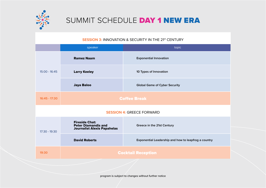

### SUMMIT SCHEDULE DAY 1 NEW ERA

**SESSION 3: INNOVATION & SECURITY IN THE 21st CENTURY** 

|                                  | speaker                                                                                   | topic                                                |  |  |
|----------------------------------|-------------------------------------------------------------------------------------------|------------------------------------------------------|--|--|
| 15:00 - 16:45                    | <b>Ramez Naam</b>                                                                         | <b>Exponential Innovation</b>                        |  |  |
|                                  | <b>Larry Keeley</b>                                                                       | 10 Types of Innovation                               |  |  |
|                                  | <b>Jaya Baloo</b>                                                                         | <b>Global Game of Cyber Security</b>                 |  |  |
| 16:45 - 17:30                    | <b>Coffee Break</b>                                                                       |                                                      |  |  |
| <b>SESSION 4: GREECE FORWARD</b> |                                                                                           |                                                      |  |  |
| 17:30 - 19:30                    | <b>Fireside Chat:</b><br><b>Peter Diamandis and</b><br><b>Journalist Alexis Papahelas</b> | Greece in the 21st Century                           |  |  |
|                                  | <b>David Roberts</b>                                                                      | Exponential Leadership and how to leapfrog a country |  |  |
| 19:30                            | <b>Cocktail Reception</b>                                                                 |                                                      |  |  |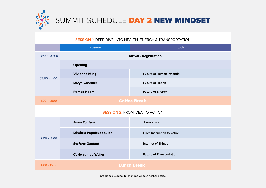

# SUMMIT SCHEDULE DAY 2 NEW MINDSET

### **SESSION 1:** DEEP DIVE INTO HEALTH, ENERGY & TRANSPORTATION

|                                       | speaker                        | topic                            |  |  |
|---------------------------------------|--------------------------------|----------------------------------|--|--|
| 08:00 - 09:00                         | <b>Arrival - Registration</b>  |                                  |  |  |
| $09:00 - 11:00$                       | <b>Opening</b>                 |                                  |  |  |
|                                       | <b>Vivienne Ming</b>           | <b>Future of Human Potential</b> |  |  |
|                                       | <b>Divya Chander</b>           | <b>Future of Health</b>          |  |  |
|                                       | <b>Ramez Naam</b>              | <b>Future of Energy</b>          |  |  |
| 11:00 - 12:00                         | <b>Coffee Break</b>            |                                  |  |  |
| <b>SESSION 2: FROM IDEA TO ACTION</b> |                                |                                  |  |  |
| $12:00 - 14:00$                       | <b>Amin Toufani</b>            | Exonomics                        |  |  |
|                                       | <b>Dimitris Papalexopoulos</b> | From Inspiration to Action.      |  |  |
|                                       | <b>Stefano Gastaut</b>         | <b>Internet of Things</b>        |  |  |
|                                       | <b>Carlo van de Weijer</b>     | <b>Future of Transportation</b>  |  |  |
| 14:00 - 15:00                         | <b>Lunch Break</b>             |                                  |  |  |